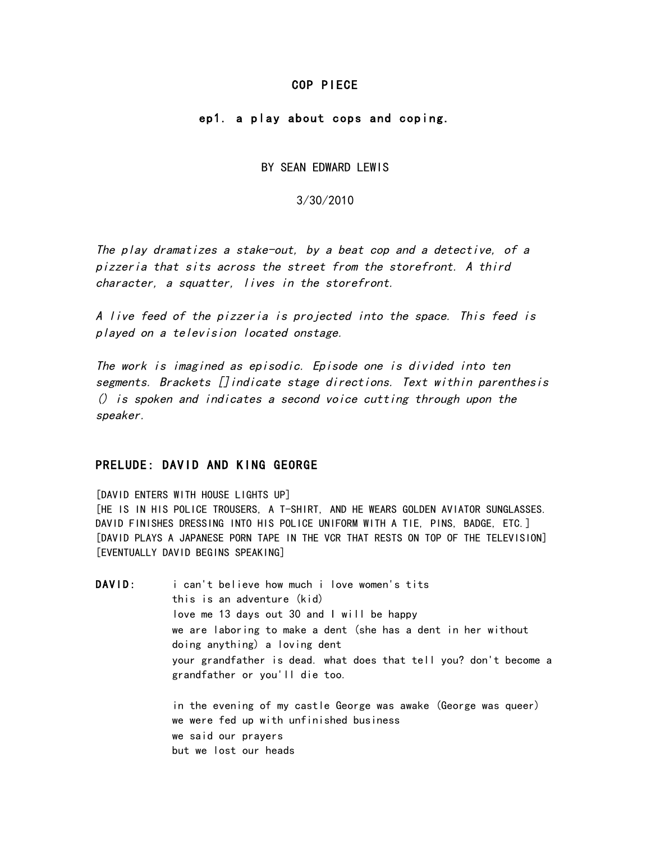### COP PIECE

## ep1. a play about cops and coping.

BY SEAN EDWARD LEWIS

3/30/2010

The play dramatizes a stake-out, by a beat cop and a detective, of a pizzeria that sits across the street from the storefront. A third character, a squatter, lives in the storefront.

A live feed of the pizzeria is projected into the space. This feed is played on a television located onstage.

The work is imagined as episodic. Episode one is divided into ten segments. Brackets []indicate stage directions. Text within parenthesis () is spoken and indicates a second voice cutting through upon the speaker.

# PRELUDE: DAVID AND KING GEORGE

[DAVID ENTERS WITH HOUSE LIGHTS UP] [HE IS IN HIS POLICE TROUSERS, A T-SHIRT, AND HE WEARS GOLDEN AVIATOR SUNGLASSES. DAVID FINISHES DRESSING INTO HIS POLICE UNIFORM WITH A TIE, PINS, BADGE, ETC.] [DAVID PLAYS A JAPANESE PORN TAPE IN THE VCR THAT RESTS ON TOP OF THE TELEVISION] [EVENTUALLY DAVID BEGINS SPEAKING]

DAVID: i can't believe how much i love women's tits this is an adventure (kid) love me 13 days out 30 and I will be happy we are laboring to make a dent (she has a dent in her without doing anything) a loving dent your grandfather is dead. what does that tell you? don't become a grandfather or you'll die too. in the evening of my castle George was awake (George was queer)

we were fed up with unfinished business we said our prayers but we lost our heads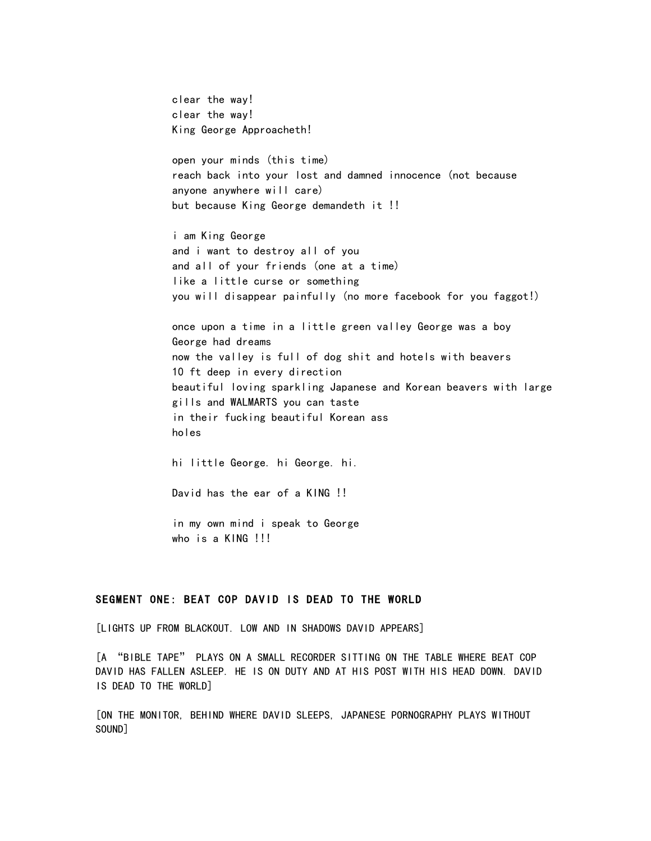clear the way! clear the way! King George Approacheth! open your minds (this time) reach back into your lost and damned innocence (not because anyone anywhere will care) but because King George demandeth it !! i am King George and i want to destroy all of you and all of your friends (one at a time) like a little curse or something you will disappear painfully (no more facebook for you faggot!) once upon a time in a little green valley George was a boy George had dreams now the valley is full of dog shit and hotels with beavers 10 ft deep in every direction beautiful loving sparkling Japanese and Korean beavers with large gills and WALMARTS you can taste in their fucking beautiful Korean ass holes hi little George. hi George. hi. David has the ear of a KING !! in my own mind i speak to George who is a KING !!!

#### SEGMENT ONE: BEAT COP DAVID IS DEAD TO THE WORLD

[LIGHTS UP FROM BLACKOUT. LOW AND IN SHADOWS DAVID APPEARS]

[A "BIBLE TAPE" PLAYS ON A SMALL RECORDER SITTING ON THE TABLE WHERE BEAT COP DAVID HAS FALLEN ASLEEP. HE IS ON DUTY AND AT HIS POST WITH HIS HEAD DOWN. DAVID IS DEAD TO THE WORLD]

[ON THE MONITOR, BEHIND WHERE DAVID SLEEPS, JAPANESE PORNOGRAPHY PLAYS WITHOUT SOUND]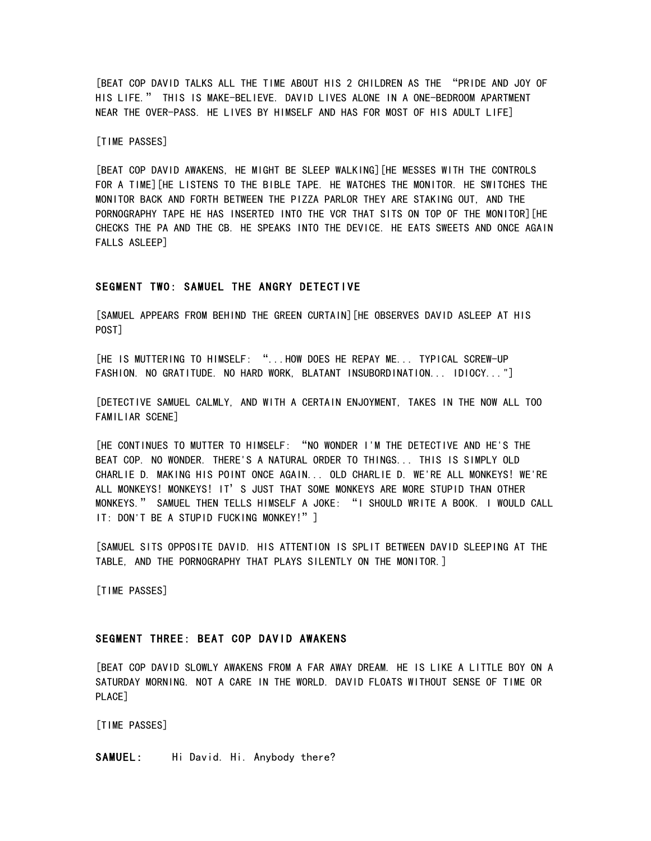[BEAT COP DAVID TALKS ALL THE TIME ABOUT HIS 2 CHILDREN AS THE "PRIDE AND JOY OF HIS LIFE." THIS IS MAKE-BELIEVE. DAVID LIVES ALONE IN A ONE-BEDROOM APARTMENT NEAR THE OVER-PASS. HE LIVES BY HIMSELF AND HAS FOR MOST OF HIS ADULT LIFE]

[TIME PASSES]

[BEAT COP DAVID AWAKENS, HE MIGHT BE SLEEP WALKING][HE MESSES WITH THE CONTROLS FOR A TIME][HE LISTENS TO THE BIBLE TAPE. HE WATCHES THE MONITOR. HE SWITCHES THE MONITOR BACK AND FORTH BETWEEN THE PIZZA PARLOR THEY ARE STAKING OUT, AND THE PORNOGRAPHY TAPE HE HAS INSERTED INTO THE VCR THAT SITS ON TOP OF THE MONITOR IHE CHECKS THE PA AND THE CB. HE SPEAKS INTO THE DEVICE. HE EATS SWEETS AND ONCE AGAIN FALLS ASLEEP]

### SEGMENT TWO: SAMUEL THE ANGRY DETECTIVE

[SAMUEL APPEARS FROM BEHIND THE GREEN CURTAIN][HE OBSERVES DAVID ASLEEP AT HIS POST]

[HE IS MUTTERING TO HIMSELF: "...HOW DOES HE REPAY ME... TYPICAL SCREW-UP FASHION. NO GRATITUDE. NO HARD WORK, BLATANT INSUBORDINATION... IDIOCY..."]

[DETECTIVE SAMUEL CALMLY, AND WITH A CERTAIN ENJOYMENT, TAKES IN THE NOW ALL TOO FAMILIAR SCENE]

[HE CONTINUES TO MUTTER TO HIMSELF: "NO WONDER I'M THE DETECTIVE AND HE'S THE BEAT COP. NO WONDER. THERE'S A NATURAL ORDER TO THINGS... THIS IS SIMPLY OLD CHARLIE D. MAKING HIS POINT ONCE AGAIN... OLD CHARLIE D. WE'RE ALL MONKEYS! WE'RE ALL MONKEYS! MONKEYS! IT'S JUST THAT SOME MONKEYS ARE MORE STUPID THAN OTHER MONKEYS." SAMUEL THEN TELLS HIMSELF A JOKE: "I SHOULD WRITE A BOOK. I WOULD CALL IT: DON'T BE A STUPID FUCKING MONKEY!" ]

[SAMUEL SITS OPPOSITE DAVID. HIS ATTENTION IS SPLIT BETWEEN DAVID SLEEPING AT THE TABLE, AND THE PORNOGRAPHY THAT PLAYS SILENTLY ON THE MONITOR.]

[TIME PASSES]

### SEGMENT THREE: BEAT COP DAVID AWAKENS

[BEAT COP DAVID SLOWLY AWAKENS FROM A FAR AWAY DREAM. HE IS LIKE A LITTLE BOY ON A SATURDAY MORNING. NOT A CARE IN THE WORLD. DAVID FLOATS WITHOUT SENSE OF TIME OR PLACE]

[TIME PASSES]

SAMUEL: Hi David. Hi. Anybody there?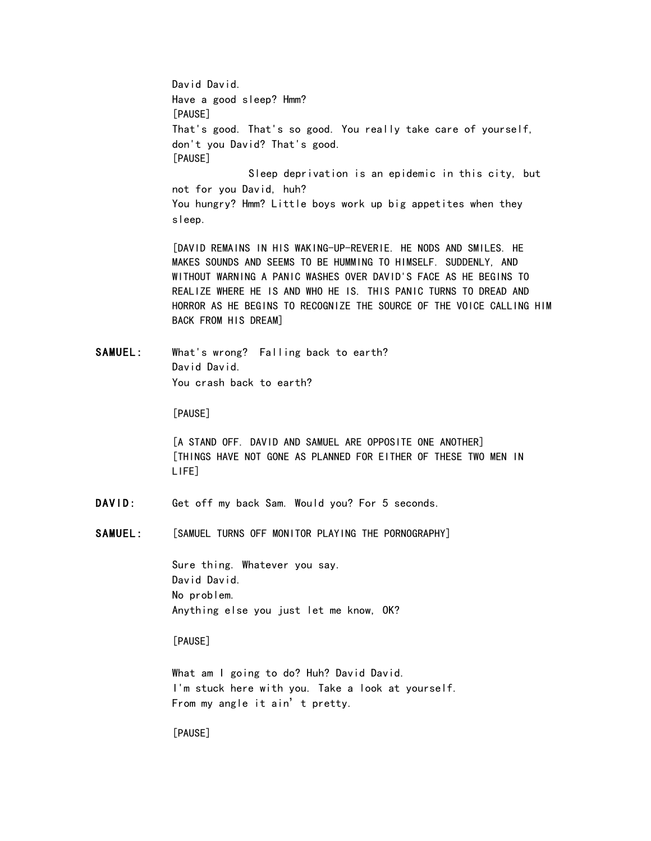David David. Have a good sleep? Hmm? [PAUSE] That's good. That's so good. You really take care of yourself, don't you David? That's good. [PAUSE] Sleep deprivation is an epidemic in this city, but not for you David, huh? You hungry? Hmm? Little boys work up big appetites when they sleep. [DAVID REMAINS IN HIS WAKING-UP-REVERIE. HE NODS AND SMILES. HE MAKES SOUNDS AND SEEMS TO BE HUMMING TO HIMSELF. SUDDENLY, AND WITHOUT WARNING A PANIC WASHES OVER DAVID'S FACE AS HE BEGINS TO REALIZE WHERE HE IS AND WHO HE IS. THIS PANIC TURNS TO DREAD AND HORROR AS HE BEGINS TO RECOGNIZE THE SOURCE OF THE VOICE CALLING HIM BACK FROM HIS DREAM] SAMUEL: What's wrong? Falling back to earth? David David. You crash back to earth? [PAUSE] [A STAND OFF. DAVID AND SAMUEL ARE OPPOSITE ONE ANOTHER] [THINGS HAVE NOT GONE AS PLANNED FOR EITHER OF THESE TWO MEN IN LIFE] DAVID: Get off my back Sam. Would you? For 5 seconds. SAMUEL: [SAMUEL TURNS OFF MONITOR PLAYING THE PORNOGRAPHY] Sure thing. Whatever you say. David David. No problem. Anything else you just let me know, OK?

[PAUSE]

What am I going to do? Huh? David David. I'm stuck here with you. Take a look at yourself. From my angle it ain't pretty.

[PAUSE]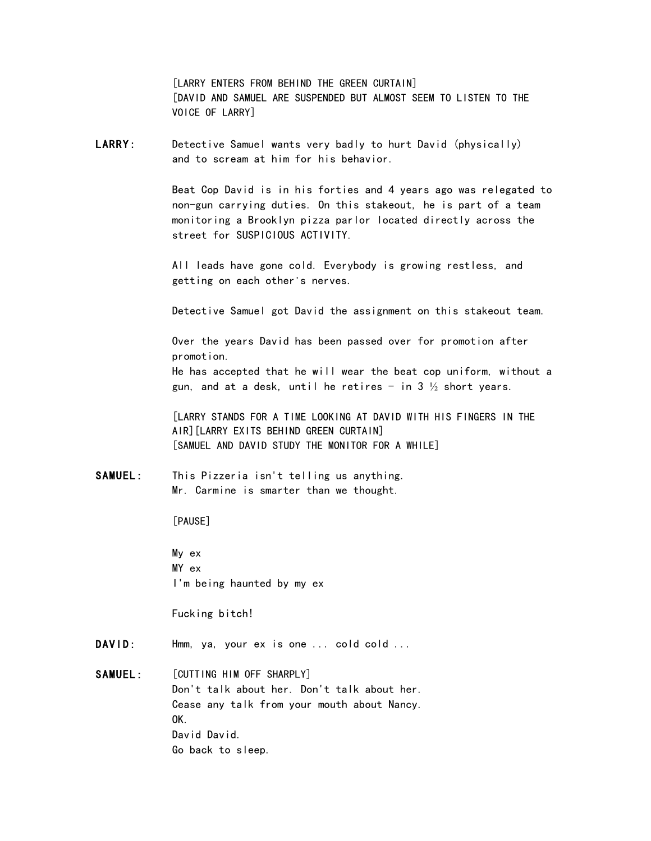[LARRY ENTERS FROM BEHIND THE GREEN CURTAIN] [DAVID AND SAMUEL ARE SUSPENDED BUT ALMOST SEEM TO LISTEN TO THE VOICE OF LARRY]

LARRY: Detective Samuel wants very badly to hurt David (physically) and to scream at him for his behavior.

> Beat Cop David is in his forties and 4 years ago was relegated to non-gun carrying duties. On this stakeout, he is part of a team monitoring a Brooklyn pizza parlor located directly across the street for SUSPICIOUS ACTIVITY.

All leads have gone cold. Everybody is growing restless, and getting on each other's nerves.

Detective Samuel got David the assignment on this stakeout team.

Over the years David has been passed over for promotion after promotion.

He has accepted that he will wear the beat cop uniform, without a gun, and at a desk, until he retires - in 3  $\frac{1}{2}$  short years.

[LARRY STANDS FOR A TIME LOOKING AT DAVID WITH HIS FINGERS IN THE AIR][LARRY EXITS BEHIND GREEN CURTAIN] [SAMUEL AND DAVID STUDY THE MONITOR FOR A WHILE]

SAMUEL: This Pizzeria isn't telling us anything. Mr. Carmine is smarter than we thought.

[PAUSE]

My ex MY ex I'm being haunted by my ex

Fucking bitch!

DAVID: Hmm, ya, your ex is one ... cold cold ...

SAMUEL: [CUTTING HIM OFF SHARPLY] Don't talk about her. Don't talk about her. Cease any talk from your mouth about Nancy. OK. David David. Go back to sleep.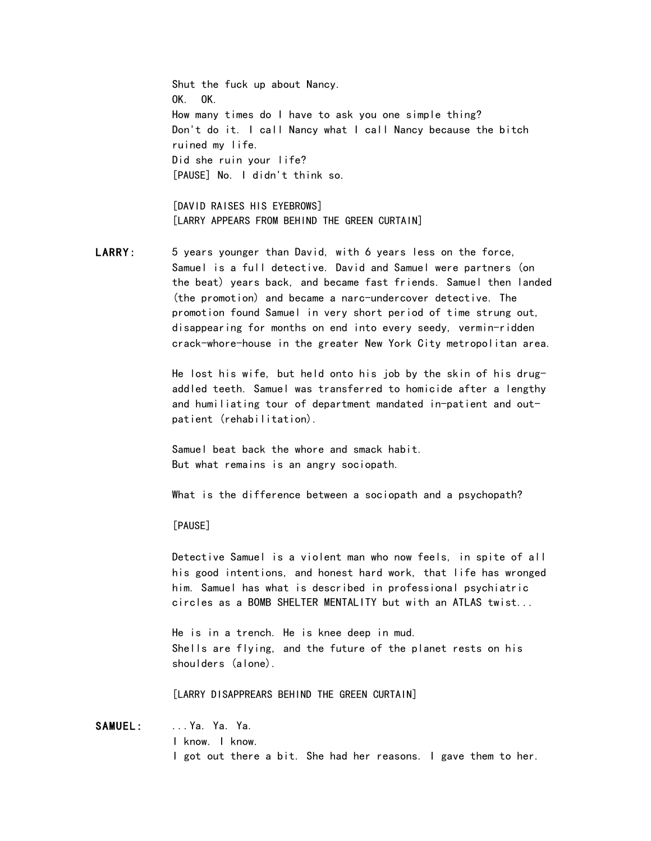Shut the fuck up about Nancy. OK. OK. How many times do I have to ask you one simple thing? Don't do it. I call Nancy what I call Nancy because the bitch ruined my life. Did she ruin your life? [PAUSE] No. I didn't think so.

[DAVID RAISES HIS EYEBROWS] [LARRY APPEARS FROM BEHIND THE GREEN CURTAIN]

LARRY: 5 years younger than David, with 6 years less on the force, Samuel is a full detective. David and Samuel were partners (on the beat) years back, and became fast friends. Samuel then landed (the promotion) and became a narc-undercover detective. The promotion found Samuel in very short period of time strung out, disappearing for months on end into every seedy, vermin-ridden crack-whore-house in the greater New York City metropolitan area.

> He lost his wife, but held onto his job by the skin of his drugaddled teeth. Samuel was transferred to homicide after a lengthy and humiliating tour of department mandated in-patient and outpatient (rehabilitation).

Samuel beat back the whore and smack habit. But what remains is an angry sociopath.

What is the difference between a sociopath and a psychopath?

[PAUSE]

Detective Samuel is a violent man who now feels, in spite of all his good intentions, and honest hard work, that life has wronged him. Samuel has what is described in professional psychiatric circles as a BOMB SHELTER MENTALITY but with an ATLAS twist...

He is in a trench. He is knee deep in mud. Shells are flying, and the future of the planet rests on his shoulders (alone).

[LARRY DISAPPREARS BEHIND THE GREEN CURTAIN]

SAMUEL: ... Ya. Ya. Ya. I know. I know. I got out there a bit. She had her reasons. I gave them to her.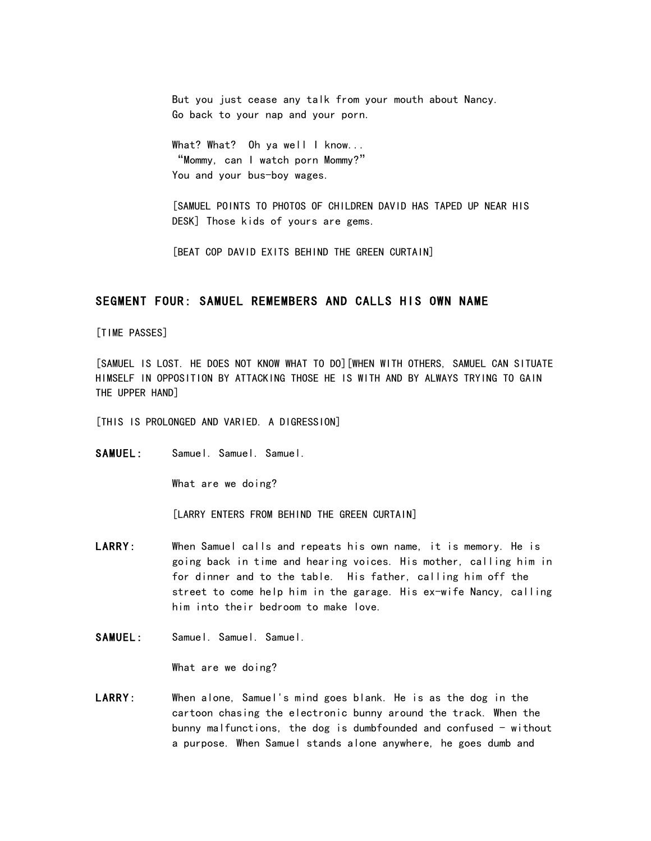But you just cease any talk from your mouth about Nancy. Go back to your nap and your porn.

What? What? Oh ya well I know... "Mommy, can I watch porn Mommy?" You and your bus-boy wages.

[SAMUEL POINTS TO PHOTOS OF CHILDREN DAVID HAS TAPED UP NEAR HIS DESK] Those kids of yours are gems.

[BEAT COP DAVID EXITS BEHIND THE GREEN CURTAIN]

### SEGMENT FOUR: SAMUEL REMEMBERS AND CALLS HIS OWN NAME

[TIME PASSES]

[SAMUEL IS LOST. HE DOES NOT KNOW WHAT TO DO][WHEN WITH OTHERS, SAMUEL CAN SITUATE HIMSELF IN OPPOSITION BY ATTACKING THOSE HE IS WITH AND BY ALWAYS TRYING TO GAIN THE UPPER HAND]

[THIS IS PROLONGED AND VARIED. A DIGRESSION]

SAMUEL: Samuel. Samuel. Samuel.

What are we doing?

[LARRY ENTERS FROM BEHIND THE GREEN CURTAIN]

- LARRY: When Samuel calls and repeats his own name, it is memory. He is going back in time and hearing voices. His mother, calling him in for dinner and to the table. His father, calling him off the street to come help him in the garage. His ex-wife Nancy, calling him into their bedroom to make love.
- SAMUEL: Samuel. Samuel. Samuel.

What are we doing?

LARRY: When alone, Samuel's mind goes blank. He is as the dog in the cartoon chasing the electronic bunny around the track. When the bunny malfunctions, the dog is dumbfounded and confused  $-$  without a purpose. When Samuel stands alone anywhere, he goes dumb and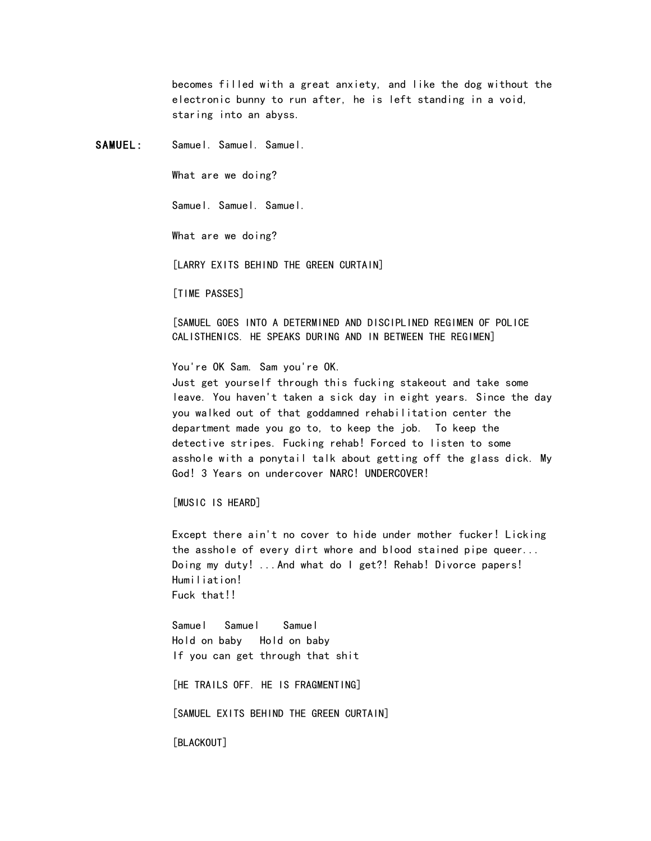becomes filled with a great anxiety, and like the dog without the electronic bunny to run after, he is left standing in a void, staring into an abyss.

SAMUEL: Samuel. Samuel. Samuel.

What are we doing?

Samuel. Samuel. Samuel.

What are we doing?

[LARRY EXITS BEHIND THE GREEN CURTAIN]

[TIME PASSES]

[SAMUEL GOES INTO A DETERMINED AND DISCIPLINED REGIMEN OF POLICE CALISTHENICS. HE SPEAKS DURING AND IN BETWEEN THE REGIMEN]

You're OK Sam. Sam you're OK.

Just get yourself through this fucking stakeout and take some leave. You haven't taken a sick day in eight years. Since the day you walked out of that goddamned rehabilitation center the department made you go to, to keep the job. To keep the detective stripes. Fucking rehab! Forced to listen to some asshole with a ponytail talk about getting off the glass dick. My God! 3 Years on undercover NARC! UNDERCOVER!

[MUSIC IS HEARD]

Except there ain't no cover to hide under mother fucker! Licking the asshole of every dirt whore and blood stained pipe queer... Doing my duty! ...And what do I get?! Rehab! Divorce papers! Humiliation! Fuck that!!

Samuel Samuel Samuel Hold on baby Hold on baby If you can get through that shit

[HE TRAILS OFF. HE IS FRAGMENTING]

[SAMUEL EXITS BEHIND THE GREEN CURTAIN]

[BLACKOUT]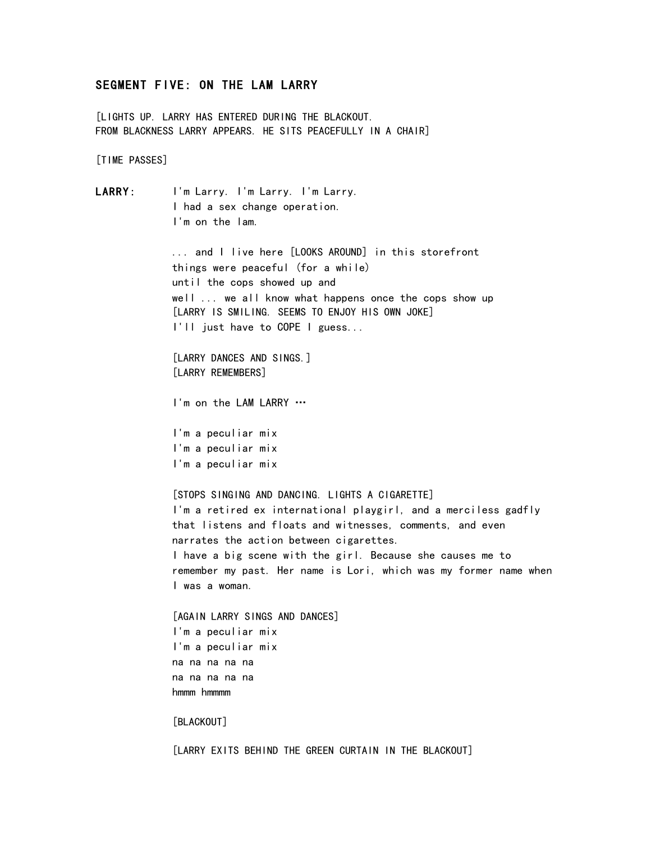# SEGMENT FIVE: ON THE LAM LARRY

[LIGHTS UP. LARRY HAS ENTERED DURING THE BLACKOUT. FROM BLACKNESS LARRY APPEARS. HE SITS PEACEFULLY IN A CHAIR]

[TIME PASSES]

```
LARRY: I'm Larry. I'm Larry. I'm Larry.
 I had a sex change operation. 
 I'm on the lam. 
 ... and I live here [LOOKS AROUND] in this storefront
 things were peaceful (for a while)
 until the cops showed up and 
 well ... we all know what happens once the cops show up 
 [LARRY IS SMILING. SEEMS TO ENJOY HIS OWN JOKE]
 I'll just have to COPE I guess... 
 [LARRY DANCES AND SINGS.]
 [LARRY REMEMBERS]
 I'm on the LAM LARRY …
 I'm a peculiar mix
 I'm a peculiar mix
 I'm a peculiar mix
 [STOPS SINGING AND DANCING. LIGHTS A CIGARETTE]
 I'm a retired ex international playgirl, and a merciless gadfly
 that listens and floats and witnesses, comments, and even 
 narrates the action between cigarettes.
 I have a big scene with the girl. Because she causes me to
 remember my past. Her name is Lori, which was my former name when 
 I was a woman.
 [AGAIN LARRY SINGS AND DANCES]
 I'm a peculiar mix
 I'm a peculiar mix
 na na na na na
 na na na na na
 hmmm hmmmm
 [BLACKOUT]
 [LARRY EXITS BEHIND THE GREEN CURTAIN IN THE BLACKOUT]
```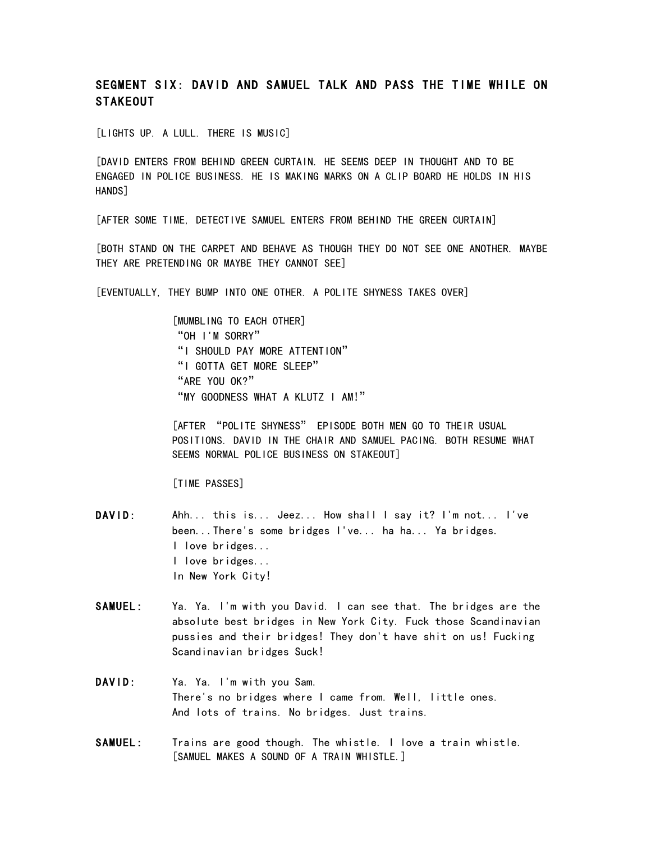# SEGMENT SIX: DAVID AND SAMUEL TALK AND PASS THE TIME WHILE ON **STAKEOUT**

[LIGHTS UP. A LULL. THERE IS MUSIC]

[DAVID ENTERS FROM BEHIND GREEN CURTAIN. HE SEEMS DEEP IN THOUGHT AND TO BE ENGAGED IN POLICE BUSINESS. HE IS MAKING MARKS ON A CLIP BOARD HE HOLDS IN HIS HANDS]

[AFTER SOME TIME, DETECTIVE SAMUEL ENTERS FROM BEHIND THE GREEN CURTAIN]

[BOTH STAND ON THE CARPET AND BEHAVE AS THOUGH THEY DO NOT SEE ONE ANOTHER. MAYBE THEY ARE PRETENDING OR MAYBE THEY CANNOT SEE]

[EVENTUALLY, THEY BUMP INTO ONE OTHER. A POLITE SHYNESS TAKES OVER]

[MUMBLING TO EACH OTHER] "OH I'M SORRY" "I SHOULD PAY MORE ATTENTION" "I GOTTA GET MORE SLEEP" "ARE YOU OK?" "MY GOODNESS WHAT A KLUTZ I AM!"

[AFTER "POLITE SHYNESS" EPISODE BOTH MEN GO TO THEIR USUAL POSITIONS. DAVID IN THE CHAIR AND SAMUEL PACING. BOTH RESUME WHAT SEEMS NORMAL POLICE BUSINESS ON STAKEOUT]

[TIME PASSES]

- DAVID: Ahh... this is... Jeez... How shall I say it? I'm not... I've been...There's some bridges I've... ha ha... Ya bridges. I love bridges... I love bridges... In New York City!
- SAMUEL: Ya. Ya. I'm with you David. I can see that. The bridges are the absolute best bridges in New York City. Fuck those Scandinavian pussies and their bridges! They don't have shit on us! Fucking Scandinavian bridges Suck!
- DAVID: Ya. Ya. I'm with you Sam. There's no bridges where I came from. Well, little ones. And lots of trains. No bridges. Just trains.
- SAMUEL: Trains are good though. The whistle. I love a train whistle. [SAMUEL MAKES A SOUND OF A TRAIN WHISTLE.]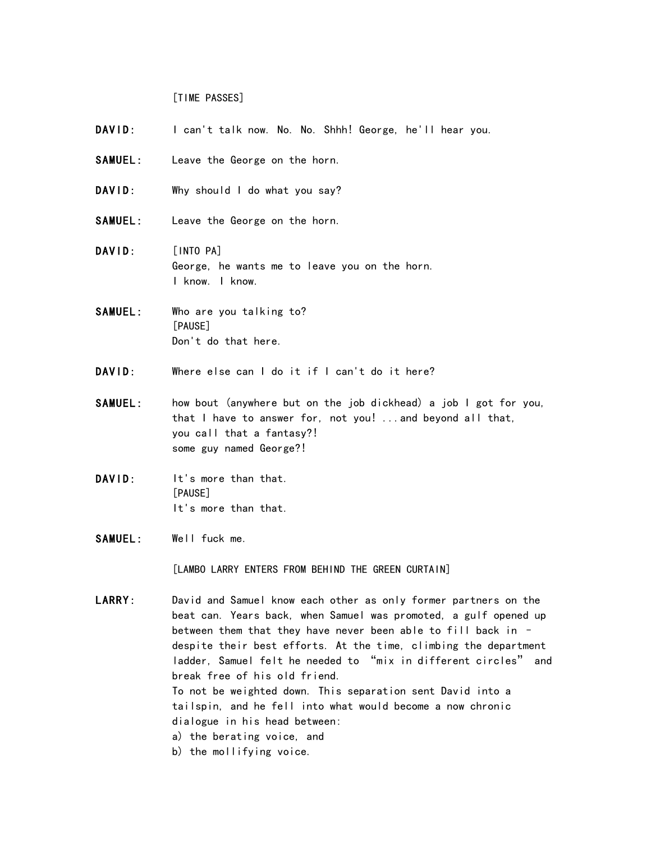[TIME PASSES]

- DAVID: I can't talk now. No. No. Shhh! George, he'll hear you.
- SAMUEL: Leave the George on the horn.
- DAVID: Why should I do what you say?
- SAMUEL: Leave the George on the horn.
- DAVID: [INTO PA] George, he wants me to leave you on the horn. I know. I know.
- SAMUEL: Who are you talking to? [PAUSE] Don't do that here.
- DAVID: Where else can I do it if I can't do it here?
- SAMUEL: how bout (anywhere but on the job dickhead) a job I got for you, that I have to answer for, not you! ...and beyond all that, you call that a fantasy?! some guy named George?!
- DAVID: It's more than that. [PAUSE] It's more than that.
- SAMUEL: Well fuck me.

[LAMBO LARRY ENTERS FROM BEHIND THE GREEN CURTAIN]

LARRY: David and Samuel know each other as only former partners on the beat can. Years back, when Samuel was promoted, a gulf opened up between them that they have never been able to fill back in – despite their best efforts. At the time, climbing the department ladder, Samuel felt he needed to "mix in different circles" and break free of his old friend. To not be weighted down. This separation sent David into a tailspin, and he fell into what would become a now chronic dialogue in his head between: a) the berating voice, and

- 
- b) the mollifying voice.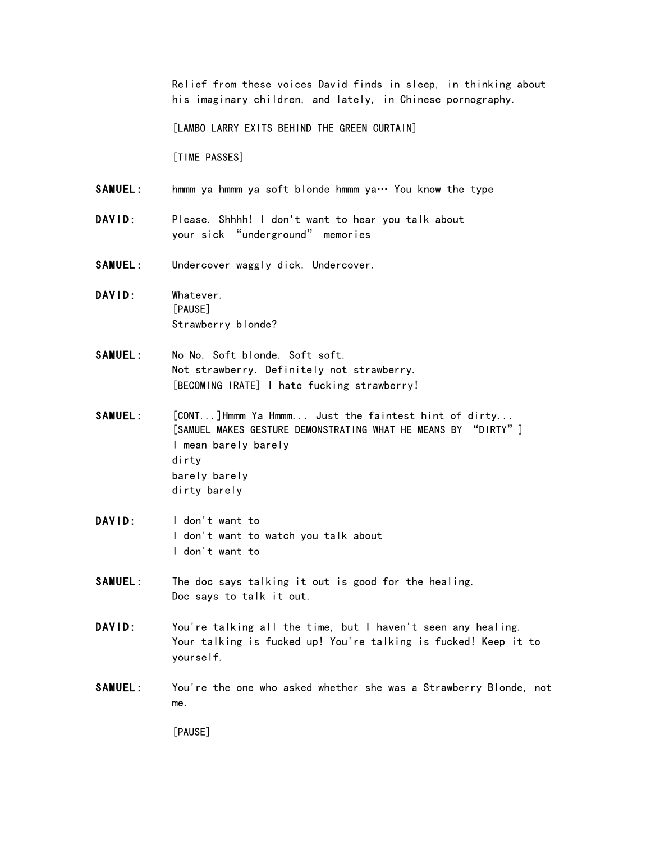Relief from these voices David finds in sleep, in thinking about his imaginary children, and lately, in Chinese pornography.

[LAMBO LARRY EXITS BEHIND THE GREEN CURTAIN]

[TIME PASSES]

- SAMUEL: hmmm ya hmmm ya soft blonde hmmm ya… You know the type
- DAVID: Please. Shhhh! I don't want to hear you talk about your sick "underground" memories
- SAMUEL: Undercover waggly dick. Undercover.
- DAVID: Whatever. [PAUSE] Strawberry blonde?
- SAMUEL: No No. Soft blonde. Soft soft. Not strawberry. Definitely not strawberry. [BECOMING IRATE] I hate fucking strawberry!
- SAMUEL: [CONT...]Hmmm Ya Hmmm... Just the faintest hint of dirty... [SAMUEL MAKES GESTURE DEMONSTRATING WHAT HE MEANS BY "DIRTY"] I mean barely barely dirty barely barely dirty barely
- DAVID: I don't want to I don't want to watch you talk about I don't want to
- SAMUEL: The doc says talking it out is good for the healing. Doc says to talk it out.
- DAVID: You're talking all the time, but I haven't seen any healing. Your talking is fucked up! You're talking is fucked! Keep it to yourself.
- SAMUEL: You're the one who asked whether she was a Strawberry Blonde, not me.

[PAUSE]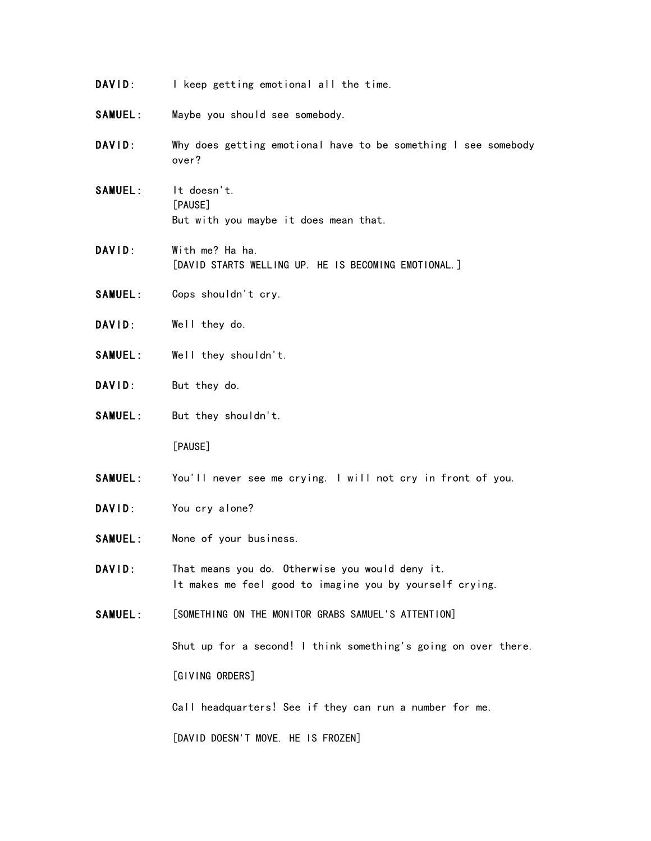- DAVID: I keep getting emotional all the time.
- SAMUEL: Maybe you should see somebody.
- DAVID: Why does getting emotional have to be something I see somebody over?
- SAMUEL: It doesn't. [PAUSE] But with you maybe it does mean that.
- DAVID: With me? Ha ha. [DAVID STARTS WELLING UP. HE IS BECOMING EMOTIONAL.]
- SAMUEL: Cops shouldn't cry.
- DAVID: Well they do.
- SAMUEL: Well they shouldn't.
- DAVID: But they do.
- SAMUEL: But they shouldn't.

[PAUSE]

- SAMUEL: You'll never see me crying. I will not cry in front of you.
- DAVID: You cry alone?
- SAMUEL: None of your business.
- DAVID: That means you do. Otherwise you would deny it. It makes me feel good to imagine you by yourself crying.
- SAMUEL: [SOMETHING ON THE MONITOR GRABS SAMUEL'S ATTENTION]

Shut up for a second! I think something's going on over there.

[GIVING ORDERS]

Call headquarters! See if they can run a number for me.

[DAVID DOESN'T MOVE. HE IS FROZEN]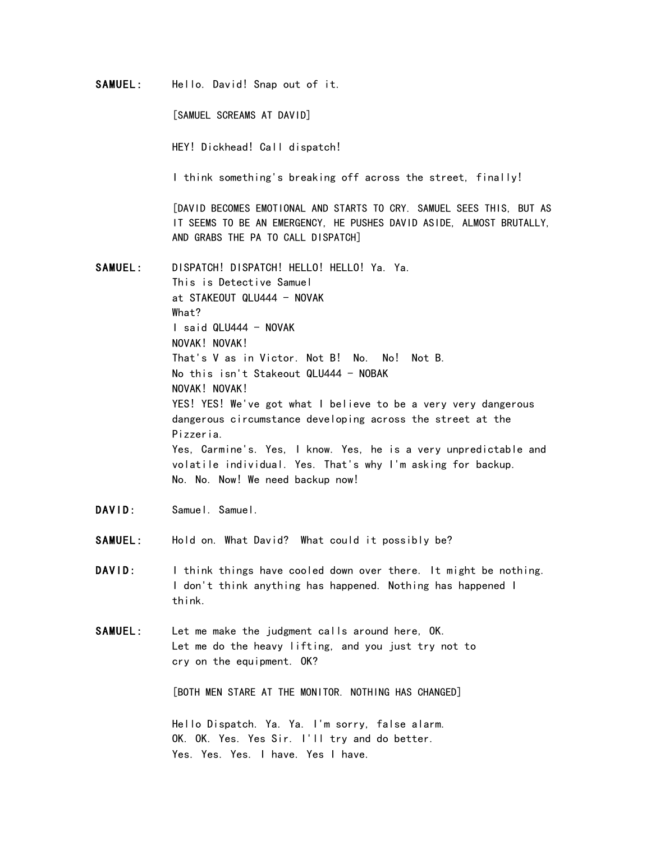SAMUEL: Hello. David! Snap out of it.

[SAMUEL SCREAMS AT DAVID]

HEY! Dickhead! Call dispatch!

I think something's breaking off across the street, finally!

[DAVID BECOMES EMOTIONAL AND STARTS TO CRY. SAMUEL SEES THIS, BUT AS IT SEEMS TO BE AN EMERGENCY, HE PUSHES DAVID ASIDE, ALMOST BRUTALLY, AND GRABS THE PA TO CALL DISPATCH]

SAMUEL: DISPATCH! DISPATCH! HELLO! HELLO! Ya. Ya. This is Detective Samuel at STAKEOUT QLU444 - NOVAK What? I said QLU444 - NOVAK NOVAK! NOVAK! That's V as in Victor. Not B! No. No! Not B. No this isn't Stakeout QLU444 - NOBAK NOVAK! NOVAK! YES! YES! We've got what I believe to be a very very dangerous dangerous circumstance developing across the street at the Pizzeria. Yes, Carmine's. Yes, I know. Yes, he is a very unpredictable and volatile individual. Yes. That's why I'm asking for backup. No. No. Now! We need backup now!

- DAVID: Samuel. Samuel.
- SAMUEL: Hold on. What David? What could it possibly be?
- DAVID: I think things have cooled down over there. It might be nothing. I don't think anything has happened. Nothing has happened I think.
- SAMUEL: Let me make the judgment calls around here, OK. Let me do the heavy lifting, and you just try not to cry on the equipment. OK?

[BOTH MEN STARE AT THE MONITOR. NOTHING HAS CHANGED]

 Hello Dispatch. Ya. Ya. I'm sorry, false alarm. OK. OK. Yes. Yes Sir. I'll try and do better. Yes. Yes. Yes. I have. Yes I have.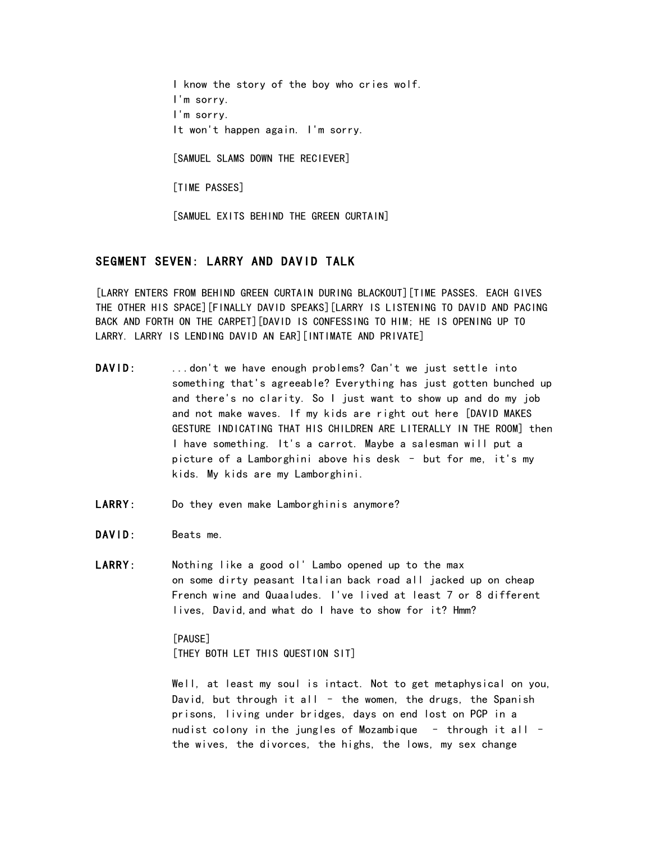I know the story of the boy who cries wolf. I'm sorry. I'm sorry. It won't happen again. I'm sorry. [SAMUEL SLAMS DOWN THE RECIEVER] [TIME PASSES] [SAMUEL EXITS BEHIND THE GREEN CURTAIN]

# SEGMENT SEVEN: LARRY AND DAVID TALK

[LARRY ENTERS FROM BEHIND GREEN CURTAIN DURING BLACKOUT][TIME PASSES. EACH GIVES THE OTHER HIS SPACE][FINALLY DAVID SPEAKS][LARRY IS LISTENING TO DAVID AND PACING BACK AND FORTH ON THE CARPET][DAVID IS CONFESSING TO HIM; HE IS OPENING UP TO LARRY. LARRY IS LENDING DAVID AN EAR][INTIMATE AND PRIVATE]

- DAVID: ...don't we have enough problems? Can't we just settle into something that's agreeable? Everything has just gotten bunched up and there's no clarity. So I just want to show up and do my job and not make waves. If my kids are right out here [DAVID MAKES GESTURE INDICATING THAT HIS CHILDREN ARE LITERALLY IN THE ROOM] then I have something. It's a carrot. Maybe a salesman will put a picture of a Lamborghini above his desk – but for me, it's my kids. My kids are my Lamborghini.
- LARRY: Do they even make Lamborghinis anymore?
- DAVID: Beats me.
- LARRY: Nothing like a good ol' Lambo opened up to the max on some dirty peasant Italian back road all jacked up on cheap French wine and Quaaludes. I've lived at least 7 or 8 different lives, David,and what do I have to show for it? Hmm?

[PAUSE] [THEY BOTH LET THIS QUESTION SIT]

Well, at least my soul is intact. Not to get metaphysical on you, David, but through it all  $-$  the women, the drugs, the Spanish prisons, living under bridges, days on end lost on PCP in a nudist colony in the jungles of Mozambique – through it all – the wives, the divorces, the highs, the lows, my sex change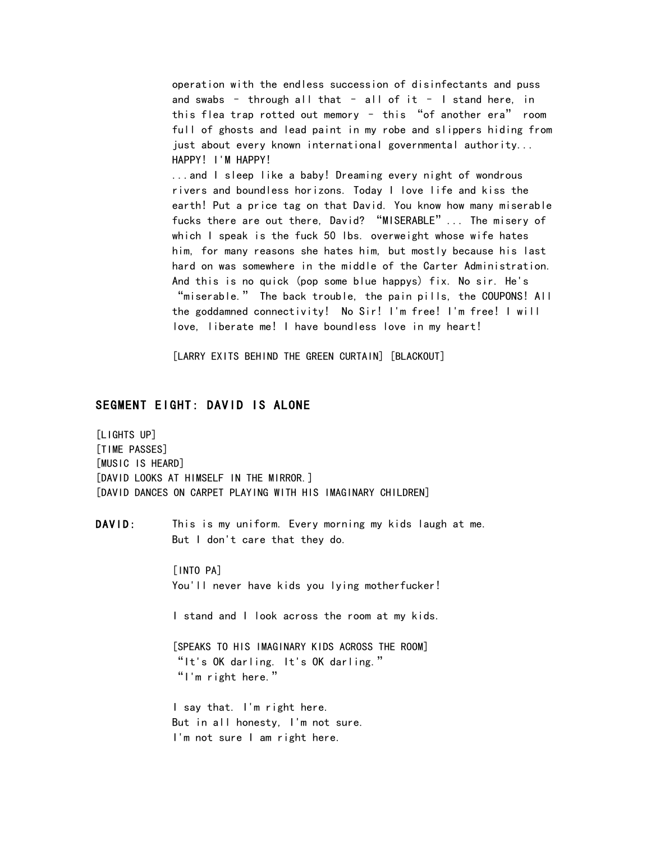operation with the endless succession of disinfectants and puss and swabs – through all that – all of it – I stand here, in this flea trap rotted out memory – this "of another era" room full of ghosts and lead paint in my robe and slippers hiding from just about every known international governmental authority... HAPPY! I'M HAPPY! ...and I sleep like a baby! Dreaming every night of wondrous rivers and boundless horizons. Today I love life and kiss the earth! Put a price tag on that David. You know how many miserable fucks there are out there, David? "MISERABLE"... The misery of which I speak is the fuck 50 lbs. overweight whose wife hates him, for many reasons she hates him, but mostly because his last hard on was somewhere in the middle of the Carter Administration. And this is no quick (pop some blue happys) fix. No sir. He's "miserable." The back trouble, the pain pills, the COUPONS! All the goddamned connectivity! No Sir! I'm free! I'm free! I will love, liberate me! I have boundless love in my heart!

[LARRY EXITS BEHIND THE GREEN CURTAIN] [BLACKOUT]

# SEGMENT EIGHT: DAVID IS ALONE

[LIGHTS UP] [TIME PASSES] [MUSIC IS HEARD] [DAVID LOOKS AT HIMSELF IN THE MIRROR.] [DAVID DANCES ON CARPET PLAYING WITH HIS IMAGINARY CHILDREN]

DAVID: This is my uniform. Every morning my kids laugh at me. But I don't care that they do.

> [INTO PA] You'll never have kids you lying motherfucker!

> I stand and I look across the room at my kids.

[SPEAKS TO HIS IMAGINARY KIDS ACROSS THE ROOM] "It's OK darling. It's OK darling." "I'm right here."

I say that. I'm right here. But in all honesty, I'm not sure. I'm not sure I am right here.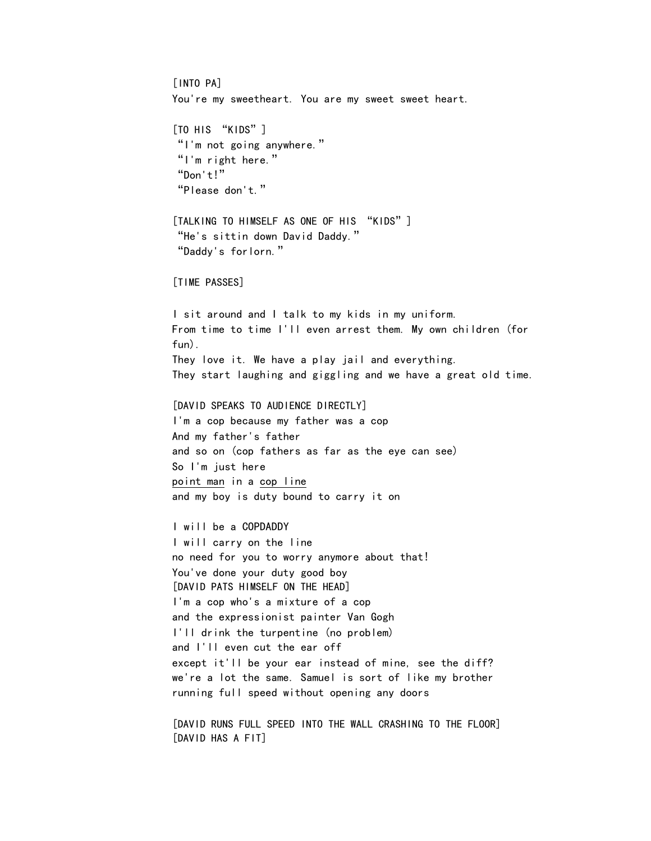[INTO PA] You're my sweetheart. You are my sweet sweet heart. [TO HIS "KIDS"] "I'm not going anywhere." "I'm right here." "Don't!" "Please don't." [TALKING TO HIMSELF AS ONE OF HIS "KIDS"] "He's sittin down David Daddy." "Daddy's forlorn." [TIME PASSES] I sit around and I talk to my kids in my uniform. From time to time I'll even arrest them. My own children (for fun). They love it. We have a play jail and everything. They start laughing and giggling and we have a great old time. [DAVID SPEAKS TO AUDIENCE DIRECTLY] I'm a cop because my father was a cop And my father's father and so on (cop fathers as far as the eye can see) So I'm just here point man in a cop line and my boy is duty bound to carry it on I will be a COPDADDY I will carry on the line no need for you to worry anymore about that! You've done your duty good boy [DAVID PATS HIMSELF ON THE HEAD] I'm a cop who's a mixture of a cop and the expressionist painter Van Gogh I'll drink the turpentine (no problem) and I'll even cut the ear off except it'll be your ear instead of mine, see the diff? we're a lot the same. Samuel is sort of like my brother running full speed without opening any doors [DAVID RUNS FULL SPEED INTO THE WALL CRASHING TO THE FLOOR] [DAVID HAS A FIT]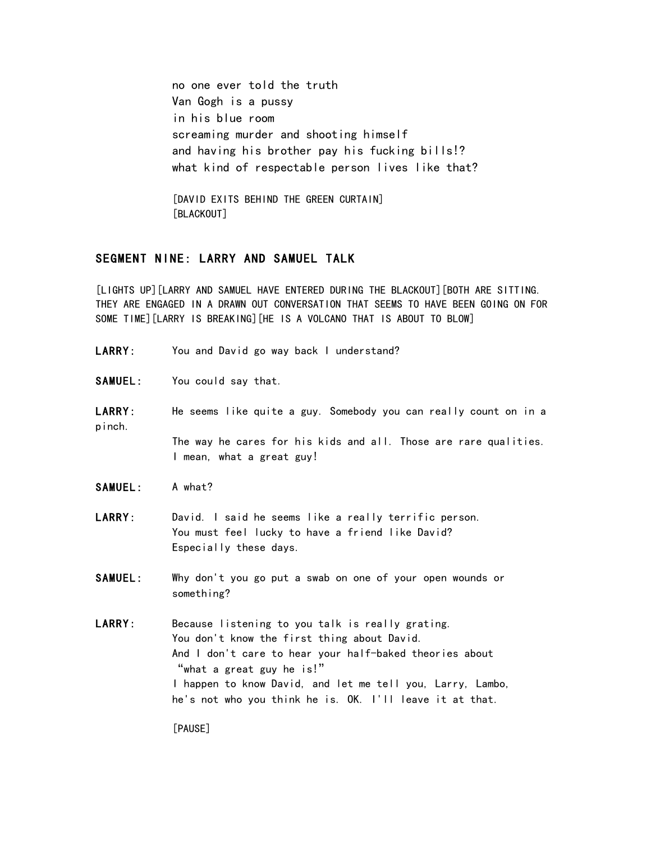no one ever told the truth Van Gogh is a pussy in his blue room screaming murder and shooting himself and having his brother pay his fucking bills!? what kind of respectable person lives like that?

[DAVID EXITS BEHIND THE GREEN CURTAIN] [BLACKOUT]

# SEGMENT NINE: LARRY AND SAMUEL TALK

[LIGHTS UP][LARRY AND SAMUEL HAVE ENTERED DURING THE BLACKOUT][BOTH ARE SITTING. THEY ARE ENGAGED IN A DRAWN OUT CONVERSATION THAT SEEMS TO HAVE BEEN GOING ON FOR SOME TIME][LARRY IS BREAKING][HE IS A VOLCANO THAT IS ABOUT TO BLOW]

- LARRY: You and David go way back I understand?
- SAMUEL: You could say that.
- LARRY: He seems like quite a guy. Somebody you can really count on in a pinch. The way he cares for his kids and all. Those are rare qualities. I mean, what a great guy!
- SAMUEL: A what?
- LARRY: David. I said he seems like a really terrific person. You must feel lucky to have a friend like David? Especially these days.
- SAMUEL: Why don't you go put a swab on one of your open wounds or something?
- LARRY: Because listening to you talk is really grating. You don't know the first thing about David. And I don't care to hear your half-baked theories about "what a great guy he is!" I happen to know David, and let me tell you, Larry, Lambo, he's not who you think he is. OK. I'll leave it at that.

[PAUSE]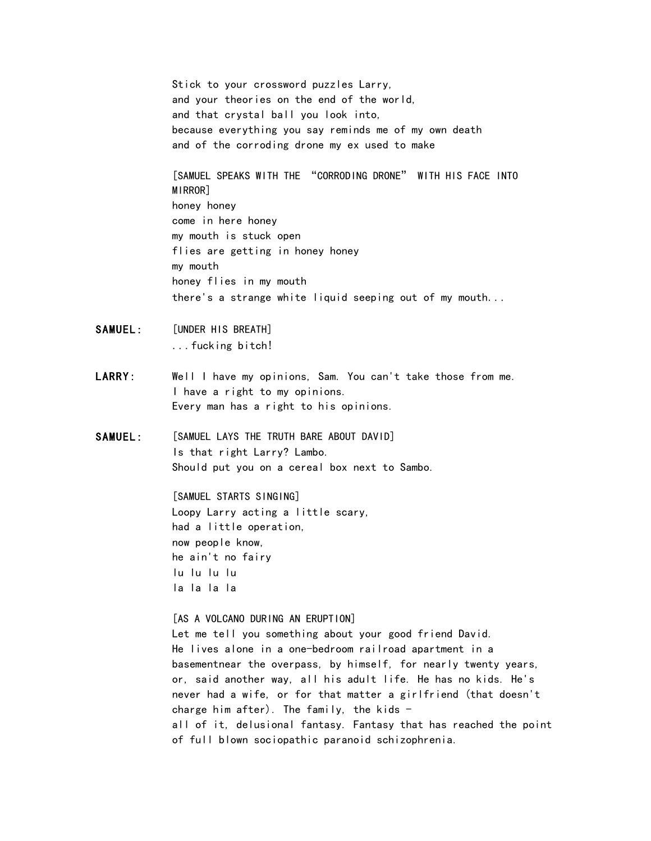Stick to your crossword puzzles Larry, and your theories on the end of the world, and that crystal ball you look into, because everything you say reminds me of my own death and of the corroding drone my ex used to make

[SAMUEL SPEAKS WITH THE "CORRODING DRONE" WITH HIS FACE INTO MIRROR] honey honey come in here honey my mouth is stuck open flies are getting in honey honey my mouth honey flies in my mouth there's a strange white liquid seeping out of my mouth...

- SAMUEL: [UNDER HIS BREATH] ...fucking bitch!
- LARRY: Well I have my opinions, Sam. You can't take those from me. I have a right to my opinions. Every man has a right to his opinions.
- SAMUEL: [SAMUEL LAYS THE TRUTH BARE ABOUT DAVID] Is that right Larry? Lambo. Should put you on a cereal box next to Sambo.

[SAMUEL STARTS SINGING] Loopy Larry acting a little scary, had a little operation, now people know, he ain't no fairy lu lu lu lu la la la la

[AS A VOLCANO DURING AN ERUPTION] Let me tell you something about your good friend David. He lives alone in a one-bedroom railroad apartment in a basementnear the overpass, by himself, for nearly twenty years, or, said another way, all his adult life. He has no kids. He's never had a wife, or for that matter a girlfriend (that doesn't charge him after). The family, the kids  $$ all of it, delusional fantasy. Fantasy that has reached the point of full blown sociopathic paranoid schizophrenia.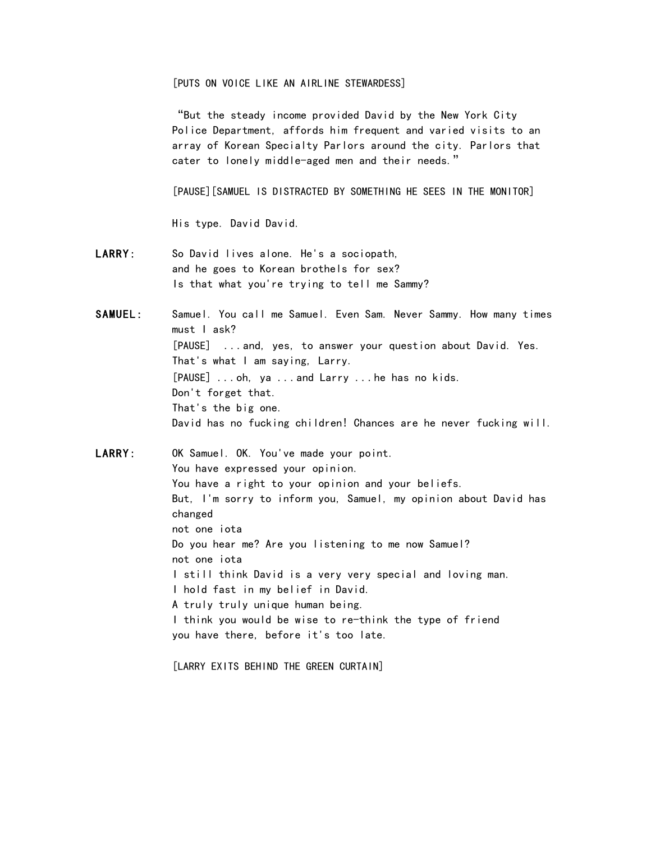[PUTS ON VOICE LIKE AN AIRLINE STEWARDESS]

"But the steady income provided David by the New York City Police Department, affords him frequent and varied visits to an array of Korean Specialty Parlors around the city. Parlors that cater to lonely middle-aged men and their needs."

[PAUSE][SAMUEL IS DISTRACTED BY SOMETHING HE SEES IN THE MONITOR]

His type. David David.

- LARRY: So David lives alone. He's a sociopath, and he goes to Korean brothels for sex? Is that what you're trying to tell me Sammy?
- SAMUEL: Samuel. You call me Samuel. Even Sam. Never Sammy. How many times must I ask? [PAUSE] ...and, yes, to answer your question about David. Yes. That's what I am saying, Larry. [PAUSE] ...oh, ya ...and Larry ...he has no kids. Don't forget that. That's the big one. David has no fucking children! Chances are he never fucking will.

LARRY: OK Samuel. OK. You've made your point. You have expressed your opinion. You have a right to your opinion and your beliefs. But, I'm sorry to inform you, Samuel, my opinion about David has changed not one iota Do you hear me? Are you listening to me now Samuel? not one iota I still think David is a very very special and loving man. I hold fast in my belief in David. A truly truly unique human being. I think you would be wise to re-think the type of friend you have there, before it's too late.

[LARRY EXITS BEHIND THE GREEN CURTAIN]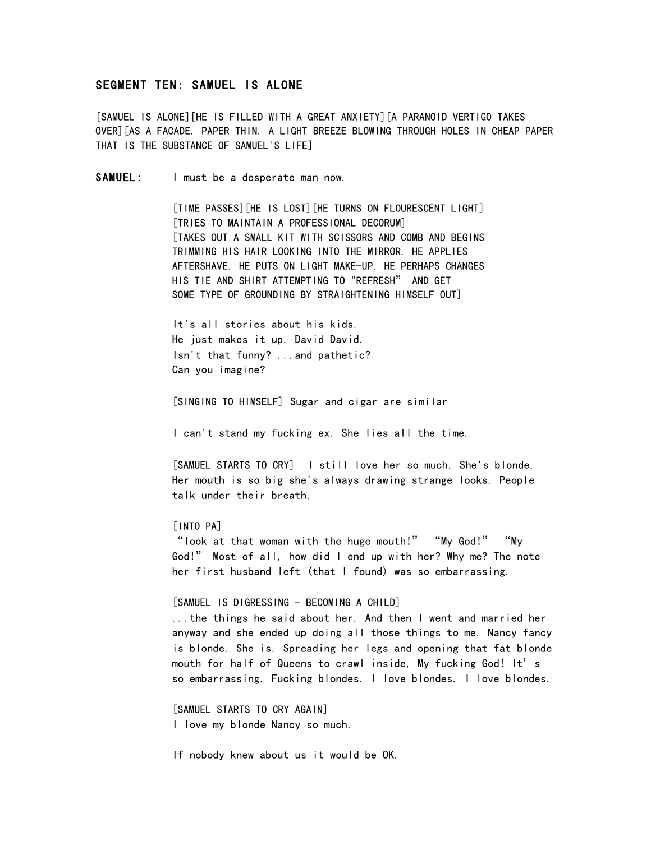### SEGMENT TEN: SAMUEL IS ALONE

[SAMUEL IS ALONE][HE IS FILLED WITH A GREAT ANXIETY][A PARANOID VERTIGO TAKES OVER][AS A FACADE. PAPER THIN. A LIGHT BREEZE BLOWING THROUGH HOLES IN CHEAP PAPER THAT IS THE SUBSTANCE OF SAMUEL'S LIFE]

SAMUEL: I must be a desperate man now.

[TIME PASSES][HE IS LOST][HE TURNS ON FLOURESCENT LIGHT] [TRIES TO MAINTAIN A PROFESSIONAL DECORUM] [TAKES OUT A SMALL KIT WITH SCISSORS AND COMB AND BEGINS TRIMMING HIS HAIR LOOKING INTO THE MIRROR. HE APPLIES AFTERSHAVE. HE PUTS ON LIGHT MAKE-UP. HE PERHAPS CHANGES HIS TIE AND SHIRT ATTEMPTING TO "REFRESH" AND GET SOME TYPE OF GROUNDING BY STRAIGHTENING HIMSELF OUT]

It's all stories about his kids. He just makes it up. David David. Isn't that funny? ...and pathetic? Can you imagine?

[SINGING TO HIMSELF] Sugar and cigar are similar

I can't stand my fucking ex. She lies all the time.

[SAMUEL STARTS TO CRY] I still love her so much. She's blonde. Her mouth is so big she's always drawing strange looks. People talk under their breath,

#### [INTO PA]

"look at that woman with the huge mouth!" "My God!" "My God!" Most of all, how did I end up with her? Why me? The note her first husband left (that I found) was so embarrassing.

#### [SAMUEL IS DIGRESSING - BECOMING A CHILD]

...the things he said about her. And then I went and married her anyway and she ended up doing all those things to me. Nancy fancy is blonde. She is. Spreading her legs and opening that fat blonde mouth for half of Queens to crawl inside, My fucking God! It's so embarrassing. Fucking blondes. I love blondes. I love blondes.

[SAMUEL STARTS TO CRY AGAIN] I love my blonde Nancy so much.

If nobody knew about us it would be OK.